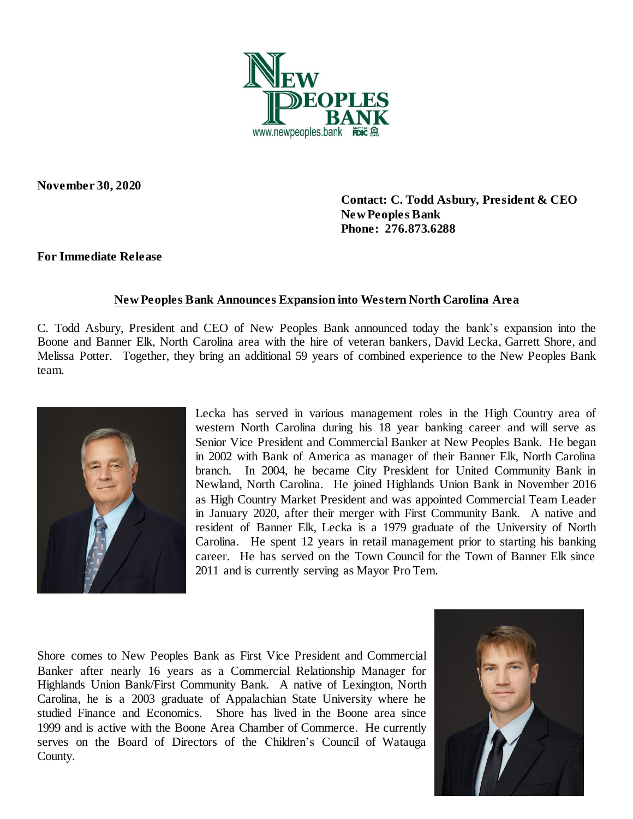

**November 30, 2020**

 **Contact: C. Todd Asbury, President & CEO New Peoples Bank Phone: 276.873.6288**

## **For Immediate Release**

## **New Peoples Bank Announces Expansion into Western North Carolina Area**

C. Todd Asbury, President and CEO of New Peoples Bank announced today the bank's expansion into the Boone and Banner Elk, North Carolina area with the hire of veteran bankers, David Lecka, Garrett Shore, and Melissa Potter. Together, they bring an additional 59 years of combined experience to the New Peoples Bank team.



Lecka has served in various management roles in the High Country area of western North Carolina during his 18 year banking career and will serve as Senior Vice President and Commercial Banker at New Peoples Bank. He began in 2002 with Bank of America as manager of their Banner Elk, North Carolina branch. In 2004, he became City President for United Community Bank in Newland, North Carolina. He joined Highlands Union Bank in November 2016 as High Country Market President and was appointed Commercial Team Leader in January 2020, after their merger with First Community Bank. A native and resident of Banner Elk, Lecka is a 1979 graduate of the University of North Carolina. He spent 12 years in retail management prior to starting his banking career. He has served on the Town Council for the Town of Banner Elk since 2011 and is currently serving as Mayor Pro Tem.

Shore comes to New Peoples Bank as First Vice President and Commercial Banker after nearly 16 years as a Commercial Relationship Manager for Highlands Union Bank/First Community Bank. A native of Lexington, North Carolina, he is a 2003 graduate of Appalachian State University where he studied Finance and Economics. Shore has lived in the Boone area since 1999 and is active with the Boone Area Chamber of Commerce. He currently serves on the Board of Directors of the Children's Council of Watauga County.